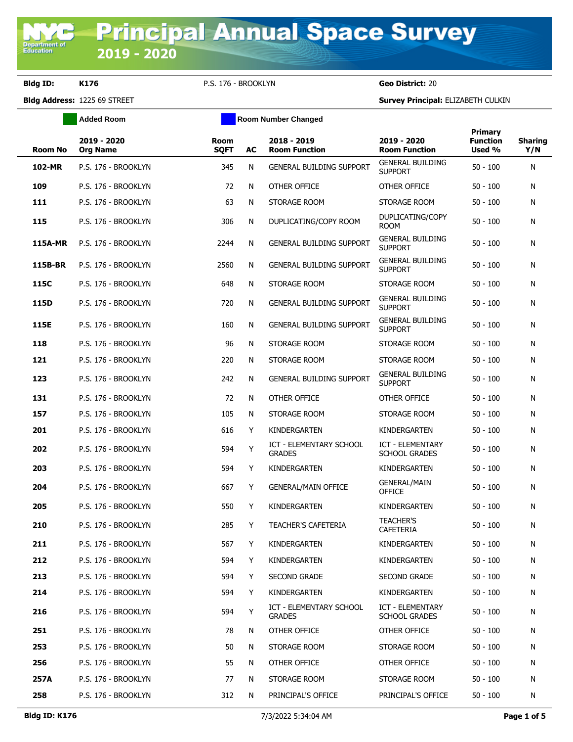**Department of**<br>Education

**Bldg ID: K176** P.S. 176 - BROOKLYN **Geo District:** 20

**Added Room Room Room Number Changed** 

|                |                                |                     |    |                                          |                                           | Primary                   |                       |
|----------------|--------------------------------|---------------------|----|------------------------------------------|-------------------------------------------|---------------------------|-----------------------|
| <b>Room No</b> | 2019 - 2020<br><b>Org Name</b> | Room<br><b>SQFT</b> | AC | 2018 - 2019<br><b>Room Function</b>      | 2019 - 2020<br><b>Room Function</b>       | <b>Function</b><br>Used % | <b>Sharing</b><br>Y/N |
| 102-MR         | P.S. 176 - BROOKLYN            | 345                 | N  | <b>GENERAL BUILDING SUPPORT</b>          | <b>GENERAL BUILDING</b><br><b>SUPPORT</b> | $50 - 100$                | N                     |
| 109            | P.S. 176 - BROOKLYN            | 72                  | N  | OTHER OFFICE                             | OTHER OFFICE                              | $50 - 100$                | N                     |
| 111            | P.S. 176 - BROOKLYN            | 63                  | N  | STORAGE ROOM                             | STORAGE ROOM                              | $50 - 100$                | Ν                     |
| 115            | P.S. 176 - BROOKLYN            | 306                 | N  | DUPLICATING/COPY ROOM                    | DUPLICATING/COPY<br><b>ROOM</b>           | $50 - 100$                | N                     |
| <b>115A-MR</b> | P.S. 176 - BROOKLYN            | 2244                | N  | <b>GENERAL BUILDING SUPPORT</b>          | <b>GENERAL BUILDING</b><br><b>SUPPORT</b> | $50 - 100$                | N                     |
| 115B-BR        | P.S. 176 - BROOKLYN            | 2560                | N  | <b>GENERAL BUILDING SUPPORT</b>          | <b>GENERAL BUILDING</b><br><b>SUPPORT</b> | $50 - 100$                | N                     |
| 115C           | P.S. 176 - BROOKLYN            | 648                 | N  | STORAGE ROOM                             | STORAGE ROOM                              | $50 - 100$                | Ν                     |
| 115D           | P.S. 176 - BROOKLYN            | 720                 | N  | <b>GENERAL BUILDING SUPPORT</b>          | <b>GENERAL BUILDING</b><br><b>SUPPORT</b> | $50 - 100$                | N                     |
| 115E           | P.S. 176 - BROOKLYN            | 160                 | N  | <b>GENERAL BUILDING SUPPORT</b>          | <b>GENERAL BUILDING</b><br><b>SUPPORT</b> | $50 - 100$                | Ν                     |
| 118            | P.S. 176 - BROOKLYN            | 96                  | N  | STORAGE ROOM                             | STORAGE ROOM                              | $50 - 100$                | N                     |
| 121            | P.S. 176 - BROOKLYN            | 220                 | N  | STORAGE ROOM                             | STORAGE ROOM                              | $50 - 100$                | Ν                     |
| 123            | P.S. 176 - BROOKLYN            | 242                 | N  | <b>GENERAL BUILDING SUPPORT</b>          | <b>GENERAL BUILDING</b><br><b>SUPPORT</b> | $50 - 100$                | Ν                     |
| 131            | P.S. 176 - BROOKLYN            | 72                  | N  | OTHER OFFICE                             | OTHER OFFICE                              | $50 - 100$                | N                     |
| 157            | P.S. 176 - BROOKLYN            | 105                 | N  | STORAGE ROOM                             | STORAGE ROOM                              | $50 - 100$                | N                     |
| 201            | P.S. 176 - BROOKLYN            | 616                 | Y  | <b>KINDERGARTEN</b>                      | KINDERGARTEN                              | $50 - 100$                | N                     |
| 202            | P.S. 176 - BROOKLYN            | 594                 | Y  | ICT - ELEMENTARY SCHOOL<br><b>GRADES</b> | ICT - ELEMENTARY<br><b>SCHOOL GRADES</b>  | $50 - 100$                | Ν                     |
| 203            | P.S. 176 - BROOKLYN            | 594                 | Y  | KINDERGARTEN                             | KINDERGARTEN                              | $50 - 100$                | Ν                     |
| 204            | P.S. 176 - BROOKLYN            | 667                 | Y  | <b>GENERAL/MAIN OFFICE</b>               | <b>GENERAL/MAIN</b><br><b>OFFICE</b>      | $50 - 100$                | N                     |
| 205            | P.S. 176 - BROOKLYN            | 550                 | Y  | KINDERGARTEN                             | KINDERGARTEN                              | $50 - 100$                | N                     |
| 210            | P.S. 176 - BROOKLYN            | 285                 | Y  | <b>TEACHER'S CAFETERIA</b>               | <b>TEACHER'S</b><br><b>CAFETERIA</b>      | $50 - 100$                | Ν                     |
| 211            | P.S. 176 - BROOKLYN            | 567                 | Y  | KINDERGARTEN                             | KINDERGARTEN                              | $50 - 100$                | N                     |
| 212            | P.S. 176 - BROOKLYN            | 594                 | Y  | KINDERGARTEN                             | KINDERGARTEN                              | $50 - 100$                | Ν                     |
| 213            | P.S. 176 - BROOKLYN            | 594                 | Y  | SECOND GRADE                             | <b>SECOND GRADE</b>                       | $50 - 100$                | Ν                     |
| 214            | P.S. 176 - BROOKLYN            | 594                 | Y  | KINDERGARTEN                             | KINDERGARTEN                              | $50 - 100$                | N                     |
| 216            | P.S. 176 - BROOKLYN            | 594                 | Y  | ICT - ELEMENTARY SCHOOL<br><b>GRADES</b> | ICT - ELEMENTARY<br><b>SCHOOL GRADES</b>  | $50 - 100$                | Ν                     |
| 251            | P.S. 176 - BROOKLYN            | 78                  | N  | OTHER OFFICE                             | OTHER OFFICE                              | $50 - 100$                | N                     |
| 253            | P.S. 176 - BROOKLYN            | 50                  | N  | STORAGE ROOM                             | STORAGE ROOM                              | $50 - 100$                | N                     |
| 256            | P.S. 176 - BROOKLYN            | 55                  | N  | OTHER OFFICE                             | OTHER OFFICE                              | $50 - 100$                | N                     |
| 257A           | P.S. 176 - BROOKLYN            | 77                  | N  | STORAGE ROOM                             | STORAGE ROOM                              | $50 - 100$                | N                     |
| 258            | P.S. 176 - BROOKLYN            | 312                 | N  | PRINCIPAL'S OFFICE                       | PRINCIPAL'S OFFICE                        | $50 - 100$                | Ν                     |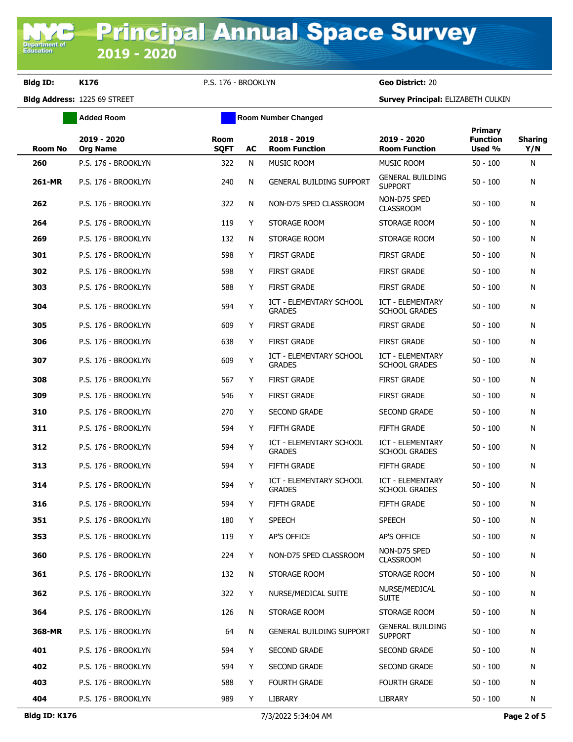**Bldg ID: K176** P.S. 176 - BROOKLYN **Geo District:** 20

|                | <b>Added Room</b>              |                            |    | <b>Room Number Changed</b>                      |                                                 |                                      |                       |
|----------------|--------------------------------|----------------------------|----|-------------------------------------------------|-------------------------------------------------|--------------------------------------|-----------------------|
| <b>Room No</b> | 2019 - 2020<br><b>Org Name</b> | <b>Room</b><br><b>SQFT</b> | AC | 2018 - 2019<br><b>Room Function</b>             | 2019 - 2020<br><b>Room Function</b>             | Primary<br><b>Function</b><br>Used % | <b>Sharing</b><br>Y/N |
| 260            | P.S. 176 - BROOKLYN            | 322                        | N  | MUSIC ROOM                                      | MUSIC ROOM                                      | $50 - 100$                           | N                     |
| <b>261-MR</b>  | P.S. 176 - BROOKLYN            | 240                        | N  | <b>GENERAL BUILDING SUPPORT</b>                 | <b>GENERAL BUILDING</b><br><b>SUPPORT</b>       | $50 - 100$                           | N                     |
| 262            | P.S. 176 - BROOKLYN            | 322                        | N  | NON-D75 SPED CLASSROOM                          | NON-D75 SPED<br><b>CLASSROOM</b>                | $50 - 100$                           | N                     |
| 264            | P.S. 176 - BROOKLYN            | 119                        | Y  | STORAGE ROOM                                    | STORAGE ROOM                                    | $50 - 100$                           | N                     |
| 269            | P.S. 176 - BROOKLYN            | 132                        | N  | STORAGE ROOM                                    | STORAGE ROOM                                    | $50 - 100$                           | N                     |
| 301            | P.S. 176 - BROOKLYN            | 598                        | Y  | <b>FIRST GRADE</b>                              | <b>FIRST GRADE</b>                              | $50 - 100$                           | N                     |
| 302            | P.S. 176 - BROOKLYN            | 598                        | Y  | <b>FIRST GRADE</b>                              | <b>FIRST GRADE</b>                              | $50 - 100$                           | N                     |
| 303            | P.S. 176 - BROOKLYN            | 588                        | Y  | <b>FIRST GRADE</b>                              | <b>FIRST GRADE</b>                              | $50 - 100$                           | N                     |
| 304            | P.S. 176 - BROOKLYN            | 594                        | Y  | ICT - ELEMENTARY SCHOOL<br><b>GRADES</b>        | <b>ICT - ELEMENTARY</b><br><b>SCHOOL GRADES</b> | $50 - 100$                           | N                     |
| 305            | P.S. 176 - BROOKLYN            | 609                        | Y  | <b>FIRST GRADE</b>                              | <b>FIRST GRADE</b>                              | $50 - 100$                           | N                     |
| 306            | P.S. 176 - BROOKLYN            | 638                        | Y  | <b>FIRST GRADE</b>                              | <b>FIRST GRADE</b>                              | $50 - 100$                           | N                     |
| 307            | P.S. 176 - BROOKLYN            | 609                        | Y  | <b>ICT - ELEMENTARY SCHOOL</b><br><b>GRADES</b> | <b>ICT - ELEMENTARY</b><br><b>SCHOOL GRADES</b> | $50 - 100$                           | N                     |
| 308            | P.S. 176 - BROOKLYN            | 567                        | Y  | <b>FIRST GRADE</b>                              | <b>FIRST GRADE</b>                              | $50 - 100$                           | N                     |
| 309            | P.S. 176 - BROOKLYN            | 546                        | Y  | <b>FIRST GRADE</b>                              | <b>FIRST GRADE</b>                              | $50 - 100$                           | N                     |
| 310            | P.S. 176 - BROOKLYN            | 270                        | Y  | SECOND GRADE                                    | <b>SECOND GRADE</b>                             | $50 - 100$                           | N                     |
| 311            | P.S. 176 - BROOKLYN            | 594                        | Y  | <b>FIFTH GRADE</b>                              | <b>FIFTH GRADE</b>                              | $50 - 100$                           | N                     |
| 312            | P.S. 176 - BROOKLYN            | 594                        | Y  | <b>ICT - ELEMENTARY SCHOOL</b><br><b>GRADES</b> | ICT - ELEMENTARY<br><b>SCHOOL GRADES</b>        | $50 - 100$                           | N                     |
| 313            | P.S. 176 - BROOKLYN            | 594                        | Y  | <b>FIFTH GRADE</b>                              | <b>FIFTH GRADE</b>                              | $50 - 100$                           | N                     |
| 314            | P.S. 176 - BROOKLYN            | 594                        | Y  | <b>ICT - ELEMENTARY SCHOOL</b><br><b>GRADES</b> | <b>ICT - ELEMENTARY</b><br><b>SCHOOL GRADES</b> | $50 - 100$                           | N                     |
| 316            | P.S. 176 - BROOKLYN            | 594                        | Y  | <b>FIFTH GRADE</b>                              | <b>FIFTH GRADE</b>                              | $50 - 100$                           | N                     |
| 351            | P.S. 176 - BROOKLYN            | 180                        | Y  | <b>SPEECH</b>                                   | <b>SPEECH</b>                                   | $50 - 100$                           | N                     |
| 353            | P.S. 176 - BROOKLYN            | 119                        | Y  | AP'S OFFICE                                     | AP'S OFFICE                                     | $50 - 100$                           | N                     |
| 360            | P.S. 176 - BROOKLYN            | 224                        | Y  | NON-D75 SPED CLASSROOM                          | NON-D75 SPED<br><b>CLASSROOM</b>                | $50 - 100$                           | N                     |
| 361            | P.S. 176 - BROOKLYN            | 132                        | N  | STORAGE ROOM                                    | STORAGE ROOM                                    | $50 - 100$                           | N                     |
| 362            | P.S. 176 - BROOKLYN            | 322                        | Y  | NURSE/MEDICAL SUITE                             | NURSE/MEDICAL<br><b>SUITE</b>                   | $50 - 100$                           | N                     |
| 364            | P.S. 176 - BROOKLYN            | 126                        | N  | STORAGE ROOM                                    | STORAGE ROOM                                    | $50 - 100$                           | N                     |
| 368-MR         | P.S. 176 - BROOKLYN            | 64                         | N  | <b>GENERAL BUILDING SUPPORT</b>                 | <b>GENERAL BUILDING</b><br><b>SUPPORT</b>       | $50 - 100$                           | N                     |
| 401            | P.S. 176 - BROOKLYN            | 594                        | Y  | SECOND GRADE                                    | <b>SECOND GRADE</b>                             | $50 - 100$                           | N                     |
| 402            | P.S. 176 - BROOKLYN            | 594                        | Y  | SECOND GRADE                                    | SECOND GRADE                                    | $50 - 100$                           | N                     |
| 403            | P.S. 176 - BROOKLYN            | 588                        | Y  | <b>FOURTH GRADE</b>                             | <b>FOURTH GRADE</b>                             | $50 - 100$                           | N                     |
| 404            | P.S. 176 - BROOKLYN            | 989                        | Y  | LIBRARY                                         | LIBRARY                                         | $50 - 100$                           | N                     |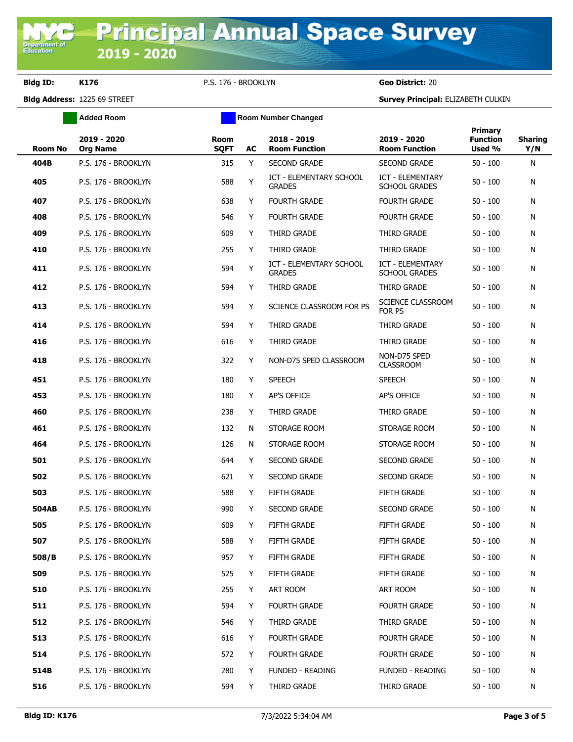**Bldg ID: K176** P.S. 176 - BROOKLYN **Geo District:** 20

**Added Room Room Room Number Changed** 

| <b>Room No</b> | 2019 - 2020<br><b>Org Name</b> | <b>Room</b><br><b>SQFT</b> | AC | 2018 - 2019<br><b>Room Function</b>             | 2019 - 2020<br><b>Room Function</b>      | Primary<br><b>Function</b><br>Used % | <b>Sharing</b><br>Y/N |
|----------------|--------------------------------|----------------------------|----|-------------------------------------------------|------------------------------------------|--------------------------------------|-----------------------|
| 404B           | P.S. 176 - BROOKLYN            | 315                        | Y  | <b>SECOND GRADE</b>                             | <b>SECOND GRADE</b>                      | $50 - 100$                           | N                     |
| 405            | P.S. 176 - BROOKLYN            | 588                        | Y  | <b>ICT - ELEMENTARY SCHOOL</b><br><b>GRADES</b> | ICT - ELEMENTARY<br><b>SCHOOL GRADES</b> | $50 - 100$                           | N                     |
| 407            | P.S. 176 - BROOKLYN            | 638                        | Y  | <b>FOURTH GRADE</b>                             | FOURTH GRADE                             | $50 - 100$                           | N                     |
| 408            | P.S. 176 - BROOKLYN            | 546                        | Y  | <b>FOURTH GRADE</b>                             | <b>FOURTH GRADE</b>                      | $50 - 100$                           | N                     |
| 409            | P.S. 176 - BROOKLYN            | 609                        | Y  | THIRD GRADE                                     | THIRD GRADE                              | $50 - 100$                           | Ν                     |
| 410            | P.S. 176 - BROOKLYN            | 255                        | Y  | THIRD GRADE                                     | THIRD GRADE                              | $50 - 100$                           | N                     |
| 411            | P.S. 176 - BROOKLYN            | 594                        | Y  | ICT - ELEMENTARY SCHOOL<br><b>GRADES</b>        | ICT - ELEMENTARY<br><b>SCHOOL GRADES</b> | $50 - 100$                           | N                     |
| 412            | P.S. 176 - BROOKLYN            | 594                        | Y  | THIRD GRADE                                     | THIRD GRADE                              | $50 - 100$                           | N                     |
| 413            | P.S. 176 - BROOKLYN            | 594                        | Y  | SCIENCE CLASSROOM FOR PS                        | SCIENCE CLASSROOM<br>FOR PS              | $50 - 100$                           | N                     |
| 414            | P.S. 176 - BROOKLYN            | 594                        | Y  | THIRD GRADE                                     | THIRD GRADE                              | $50 - 100$                           | N                     |
| 416            | P.S. 176 - BROOKLYN            | 616                        | Y  | THIRD GRADE                                     | THIRD GRADE                              | $50 - 100$                           | N                     |
| 418            | P.S. 176 - BROOKLYN            | 322                        | Y  | NON-D75 SPED CLASSROOM                          | NON-D75 SPED<br><b>CLASSROOM</b>         | $50 - 100$                           | N                     |
| 451            | P.S. 176 - BROOKLYN            | 180                        | Y  | <b>SPEECH</b>                                   | <b>SPEECH</b>                            | $50 - 100$                           | Ν                     |
| 453            | P.S. 176 - BROOKLYN            | 180                        | Y  | AP'S OFFICE                                     | AP'S OFFICE                              | $50 - 100$                           | N                     |
| 460            | P.S. 176 - BROOKLYN            | 238                        | Y  | THIRD GRADE                                     | THIRD GRADE                              | $50 - 100$                           | Ν                     |
| 461            | P.S. 176 - BROOKLYN            | 132                        | N  | STORAGE ROOM                                    | STORAGE ROOM                             | $50 - 100$                           | N                     |
| 464            | P.S. 176 - BROOKLYN            | 126                        | N  | STORAGE ROOM                                    | STORAGE ROOM                             | $50 - 100$                           | Ν                     |
| 501            | P.S. 176 - BROOKLYN            | 644                        | Y  | <b>SECOND GRADE</b>                             | <b>SECOND GRADE</b>                      | $50 - 100$                           | N                     |
| 502            | P.S. 176 - BROOKLYN            | 621                        | Y  | <b>SECOND GRADE</b>                             | <b>SECOND GRADE</b>                      | $50 - 100$                           | N                     |
| 503            | P.S. 176 - BROOKLYN            | 588                        | Y  | <b>FIFTH GRADE</b>                              | FIFTH GRADE                              | $50 - 100$                           | N                     |
| <b>504AB</b>   | P.S. 176 - BROOKLYN            | 990                        | Y  | <b>SECOND GRADE</b>                             | <b>SECOND GRADE</b>                      | $50 - 100$                           | N                     |
| 505            | P.S. 176 - BROOKLYN            | 609                        | Y  | <b>FIFTH GRADE</b>                              | <b>FIFTH GRADE</b>                       | $50 - 100$                           | N                     |
| 507            | P.S. 176 - BROOKLYN            | 588                        | Y. | FIFTH GRADE                                     | <b>FIFTH GRADE</b>                       | $50 - 100$                           | N                     |
| 508/B          | P.S. 176 - BROOKLYN            | 957                        | Y  | FIFTH GRADE                                     | FIFTH GRADE                              | $50 - 100$                           | N                     |
| 509            | P.S. 176 - BROOKLYN            | 525                        | Y  | FIFTH GRADE                                     | FIFTH GRADE                              | $50 - 100$                           | N                     |
| 510            | P.S. 176 - BROOKLYN            | 255                        | Y. | ART ROOM                                        | ART ROOM                                 | $50 - 100$                           | N                     |
| 511            | P.S. 176 - BROOKLYN            | 594                        | Y  | <b>FOURTH GRADE</b>                             | <b>FOURTH GRADE</b>                      | $50 - 100$                           | N                     |
| 512            | P.S. 176 - BROOKLYN            | 546                        | Y. | THIRD GRADE                                     | THIRD GRADE                              | $50 - 100$                           | N                     |
| 513            | P.S. 176 - BROOKLYN            | 616                        | Y  | <b>FOURTH GRADE</b>                             | <b>FOURTH GRADE</b>                      | $50 - 100$                           | N                     |
| 514            | P.S. 176 - BROOKLYN            | 572                        | Y. | <b>FOURTH GRADE</b>                             | <b>FOURTH GRADE</b>                      | $50 - 100$                           | N                     |
| 514B           | P.S. 176 - BROOKLYN            | 280                        | Y  | <b>FUNDED - READING</b>                         | <b>FUNDED - READING</b>                  | $50 - 100$                           | N                     |
| 516            | P.S. 176 - BROOKLYN            | 594                        | Y. | THIRD GRADE                                     | THIRD GRADE                              | $50 - 100$                           | N                     |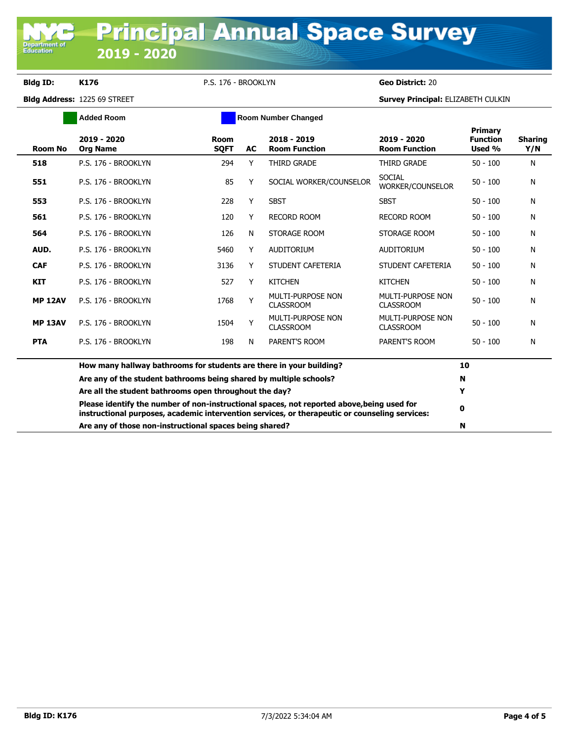## **Bldg ID: K176** P.S. 176 - BROOKLYN **Geo District:** 20

**Department of**<br>Education

| <b>Added Room</b>                                      |                                                                     |                            |    | <b>Room Number Changed</b>                                                                                                                                                                   |                                       |                                      |                       |
|--------------------------------------------------------|---------------------------------------------------------------------|----------------------------|----|----------------------------------------------------------------------------------------------------------------------------------------------------------------------------------------------|---------------------------------------|--------------------------------------|-----------------------|
| <b>Room No</b>                                         | 2019 - 2020<br><b>Org Name</b>                                      | <b>Room</b><br><b>SOFT</b> | AC | 2018 - 2019<br><b>Room Function</b>                                                                                                                                                          | 2019 - 2020<br><b>Room Function</b>   | Primary<br><b>Function</b><br>Used % | <b>Sharing</b><br>Y/N |
| 518                                                    | P.S. 176 - BROOKLYN                                                 | 294                        | Y  | THIRD GRADE                                                                                                                                                                                  | THIRD GRADE                           | $50 - 100$                           | N                     |
| 551                                                    | P.S. 176 - BROOKLYN                                                 | 85                         | Y  | SOCIAL WORKER/COUNSELOR                                                                                                                                                                      | <b>SOCIAL</b><br>WORKER/COUNSELOR     | $50 - 100$                           | N                     |
| 553                                                    | P.S. 176 - BROOKLYN                                                 | 228                        | Y  | <b>SBST</b>                                                                                                                                                                                  | <b>SBST</b>                           | $50 - 100$                           | N                     |
| 561                                                    | P.S. 176 - BROOKLYN                                                 | 120                        | Y  | <b>RECORD ROOM</b>                                                                                                                                                                           | <b>RECORD ROOM</b>                    | $50 - 100$                           | N                     |
| 564                                                    | P.S. 176 - BROOKLYN                                                 | 126                        | N  | STORAGE ROOM                                                                                                                                                                                 | STORAGE ROOM                          | $50 - 100$                           | N                     |
| AUD.                                                   | P.S. 176 - BROOKLYN                                                 | 5460                       | Y  | <b>AUDITORIUM</b>                                                                                                                                                                            | <b>AUDITORIUM</b>                     | $50 - 100$                           | N                     |
| <b>CAF</b>                                             | P.S. 176 - BROOKLYN                                                 | 3136                       | Y  | STUDENT CAFETERIA                                                                                                                                                                            | STUDENT CAFETERIA                     | $50 - 100$                           | N                     |
| <b>KIT</b>                                             | P.S. 176 - BROOKLYN                                                 | 527                        | Y  | <b>KITCHEN</b>                                                                                                                                                                               | <b>KITCHEN</b>                        | $50 - 100$                           | N                     |
| <b>MP 12AV</b>                                         | P.S. 176 - BROOKLYN                                                 | 1768                       | Y  | MULTI-PURPOSE NON<br><b>CLASSROOM</b>                                                                                                                                                        | MULTI-PURPOSE NON<br><b>CLASSROOM</b> | $50 - 100$                           | Ν                     |
| <b>MP 13AV</b>                                         | P.S. 176 - BROOKLYN                                                 | 1504                       | Y  | MULTI-PURPOSE NON<br><b>CLASSROOM</b>                                                                                                                                                        | MULTI-PURPOSE NON<br><b>CLASSROOM</b> | $50 - 100$                           | N                     |
| <b>PTA</b>                                             | P.S. 176 - BROOKLYN                                                 | 198                        | N  | PARENT'S ROOM                                                                                                                                                                                | PARENT'S ROOM                         | $50 - 100$                           | N                     |
|                                                        | How many hallway bathrooms for students are there in your building? |                            |    |                                                                                                                                                                                              |                                       | 10                                   |                       |
|                                                        | Are any of the student bathrooms being shared by multiple schools?  |                            | N  |                                                                                                                                                                                              |                                       |                                      |                       |
| Are all the student bathrooms open throughout the day? |                                                                     |                            |    |                                                                                                                                                                                              | Y                                     |                                      |                       |
|                                                        |                                                                     |                            |    | Please identify the number of non-instructional spaces, not reported above, being used for<br>instructional purposes, academic intervention services, or therapeutic or counseling services: |                                       | 0                                    |                       |
|                                                        | Are any of those non-instructional spaces being shared?             |                            |    |                                                                                                                                                                                              | N                                     |                                      |                       |